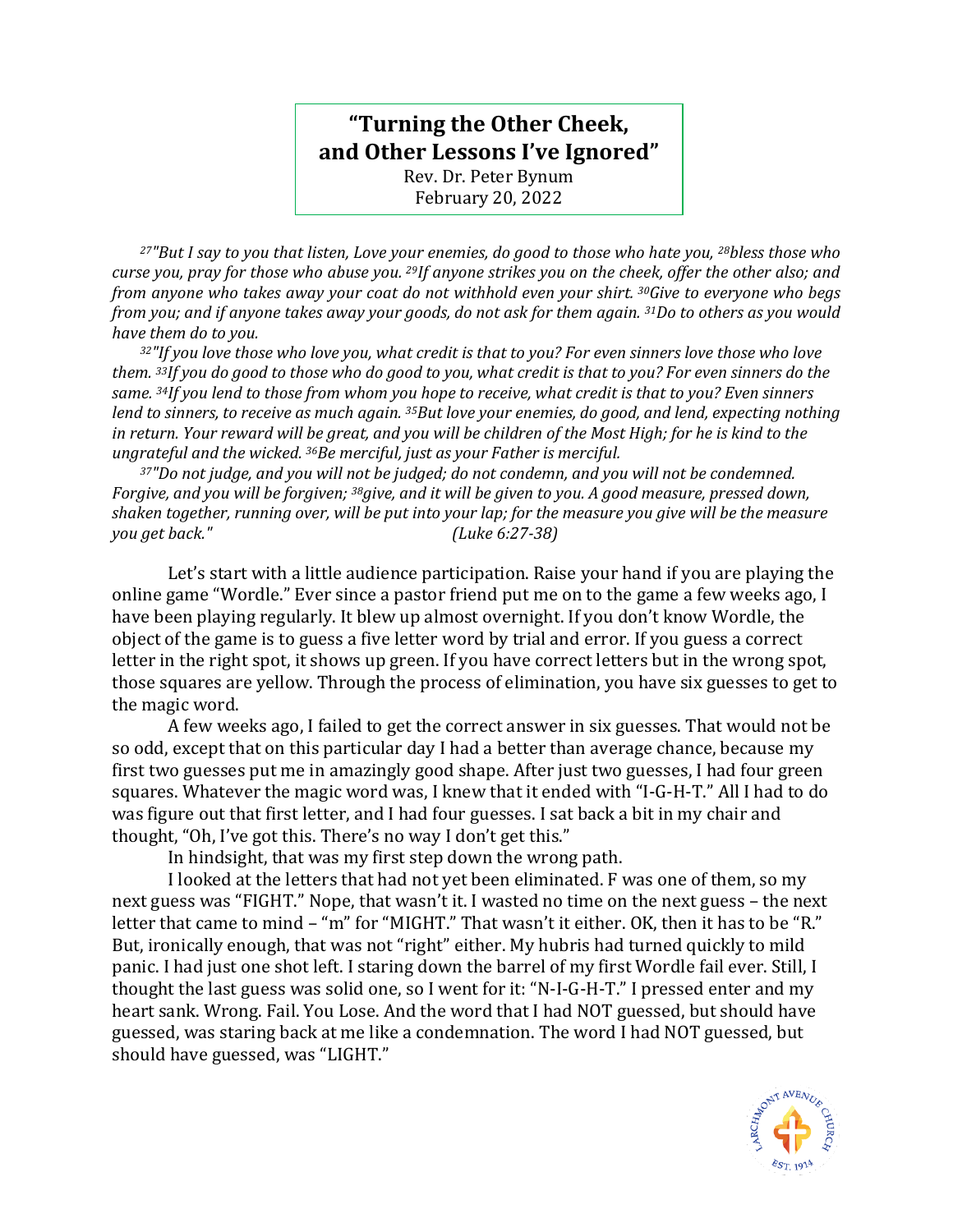## **"Turning the Other Cheek, and Other Lessons I've Ignored"**

Rev. Dr. Peter Bynum February 20, 2022

*<sup>27</sup>"But I say to you that listen, Love your enemies, do good to those who hate you, <sup>28</sup>bless those who curse you, pray for those who abuse you. <sup>29</sup>If anyone strikes you on the cheek, offer the other also; and from anyone who takes away your coat do not withhold even your shirt. <sup>30</sup>Give to everyone who begs from you; and if anyone takes away your goods, do not ask for them again. <sup>31</sup>Do to others as you would have them do to you.*

*<sup>32</sup>"If you love those who love you, what credit is that to you? For even sinners love those who love them. <sup>33</sup>If you do good to those who do good to you, what credit is that to you? For even sinners do the same. <sup>34</sup>If you lend to those from whom you hope to receive, what credit is that to you? Even sinners lend to sinners, to receive as much again. <sup>35</sup>But love your enemies, do good, and lend, expecting nothing in return. Your reward will be great, and you will be children of the Most High; for he is kind to the ungrateful and the wicked. <sup>36</sup>Be merciful, just as your Father is merciful.*

*<sup>37</sup>"Do not judge, and you will not be judged; do not condemn, and you will not be condemned. Forgive, and you will be forgiven; <sup>38</sup>give, and it will be given to you. A good measure, pressed down, shaken together, running over, will be put into your lap; for the measure you give will be the measure you get back." (Luke 6:27-38)*

Let's start with a little audience participation. Raise your hand if you are playing the online game "Wordle." Ever since a pastor friend put me on to the game a few weeks ago, I have been playing regularly. It blew up almost overnight. If you don't know Wordle, the object of the game is to guess a five letter word by trial and error. If you guess a correct letter in the right spot, it shows up green. If you have correct letters but in the wrong spot, those squares are yellow. Through the process of elimination, you have six guesses to get to the magic word.

A few weeks ago, I failed to get the correct answer in six guesses. That would not be so odd, except that on this particular day I had a better than average chance, because my first two guesses put me in amazingly good shape. After just two guesses, I had four green squares. Whatever the magic word was, I knew that it ended with "I-G-H-T." All I had to do was figure out that first letter, and I had four guesses. I sat back a bit in my chair and thought, "Oh, I've got this. There's no way I don't get this."

In hindsight, that was my first step down the wrong path.

I looked at the letters that had not yet been eliminated. F was one of them, so my next guess was "FIGHT." Nope, that wasn't it. I wasted no time on the next guess – the next letter that came to mind – "m" for "MIGHT." That wasn't it either. OK, then it has to be "R." But, ironically enough, that was not "right" either. My hubris had turned quickly to mild panic. I had just one shot left. I staring down the barrel of my first Wordle fail ever. Still, I thought the last guess was solid one, so I went for it: "N-I-G-H-T." I pressed enter and my heart sank. Wrong. Fail. You Lose. And the word that I had NOT guessed, but should have guessed, was staring back at me like a condemnation. The word I had NOT guessed, but should have guessed, was "LIGHT."

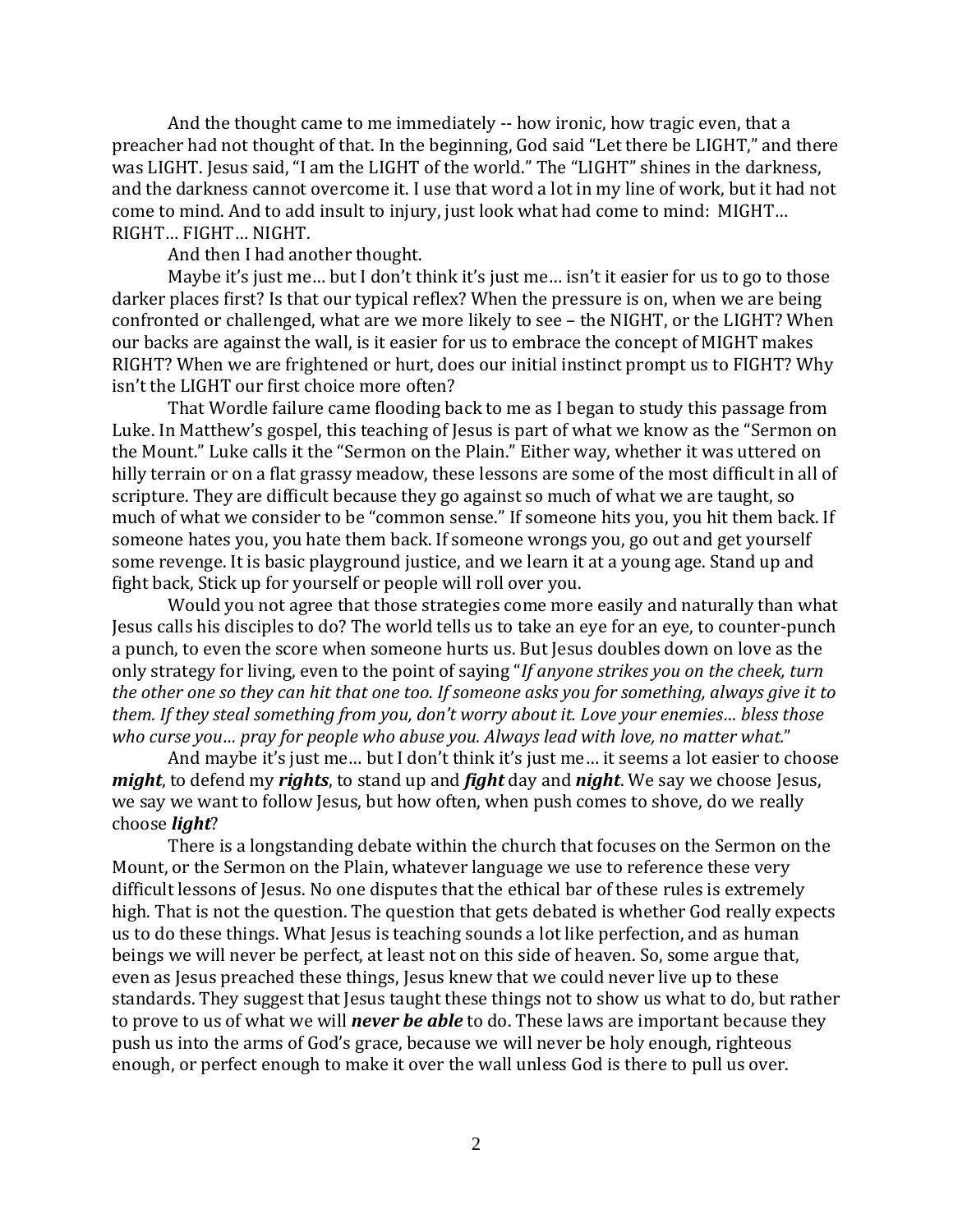And the thought came to me immediately -- how ironic, how tragic even, that a preacher had not thought of that. In the beginning, God said "Let there be LIGHT," and there was LIGHT. Jesus said, "I am the LIGHT of the world." The "LIGHT" shines in the darkness, and the darkness cannot overcome it. I use that word a lot in my line of work, but it had not come to mind. And to add insult to injury, just look what had come to mind: MIGHT… RIGHT… FIGHT… NIGHT.

And then I had another thought.

Maybe it's just me... but I don't think it's just me... isn't it easier for us to go to those darker places first? Is that our typical reflex? When the pressure is on, when we are being confronted or challenged, what are we more likely to see – the NIGHT, or the LIGHT? When our backs are against the wall, is it easier for us to embrace the concept of MIGHT makes RIGHT? When we are frightened or hurt, does our initial instinct prompt us to FIGHT? Why isn't the LIGHT our first choice more often?

That Wordle failure came flooding back to me as I began to study this passage from Luke. In Matthew's gospel, this teaching of Jesus is part of what we know as the "Sermon on the Mount." Luke calls it the "Sermon on the Plain." Either way, whether it was uttered on hilly terrain or on a flat grassy meadow, these lessons are some of the most difficult in all of scripture. They are difficult because they go against so much of what we are taught, so much of what we consider to be "common sense." If someone hits you, you hit them back. If someone hates you, you hate them back. If someone wrongs you, go out and get yourself some revenge. It is basic playground justice, and we learn it at a young age. Stand up and fight back, Stick up for yourself or people will roll over you.

Would you not agree that those strategies come more easily and naturally than what Jesus calls his disciples to do? The world tells us to take an eye for an eye, to counter-punch a punch, to even the score when someone hurts us. But Jesus doubles down on love as the only strategy for living, even to the point of saying "*If anyone strikes you on the cheek, turn the other one so they can hit that one too. If someone asks you for something, always give it to them. If they steal something from you, don't worry about it. Love your enemies… bless those who curse you… pray for people who abuse you. Always lead with love, no matter what.*"

And maybe it's just me… but I don't think it's just me… it seems a lot easier to choose *might*, to defend my *rights*, to stand up and *fight* day and *night*. We say we choose Jesus, we say we want to follow Jesus, but how often, when push comes to shove, do we really choose *light*?

There is a longstanding debate within the church that focuses on the Sermon on the Mount, or the Sermon on the Plain, whatever language we use to reference these very difficult lessons of Jesus. No one disputes that the ethical bar of these rules is extremely high. That is not the question. The question that gets debated is whether God really expects us to do these things. What Jesus is teaching sounds a lot like perfection, and as human beings we will never be perfect, at least not on this side of heaven. So, some argue that, even as Jesus preached these things, Jesus knew that we could never live up to these standards. They suggest that Jesus taught these things not to show us what to do, but rather to prove to us of what we will *never be able* to do. These laws are important because they push us into the arms of God's grace, because we will never be holy enough, righteous enough, or perfect enough to make it over the wall unless God is there to pull us over.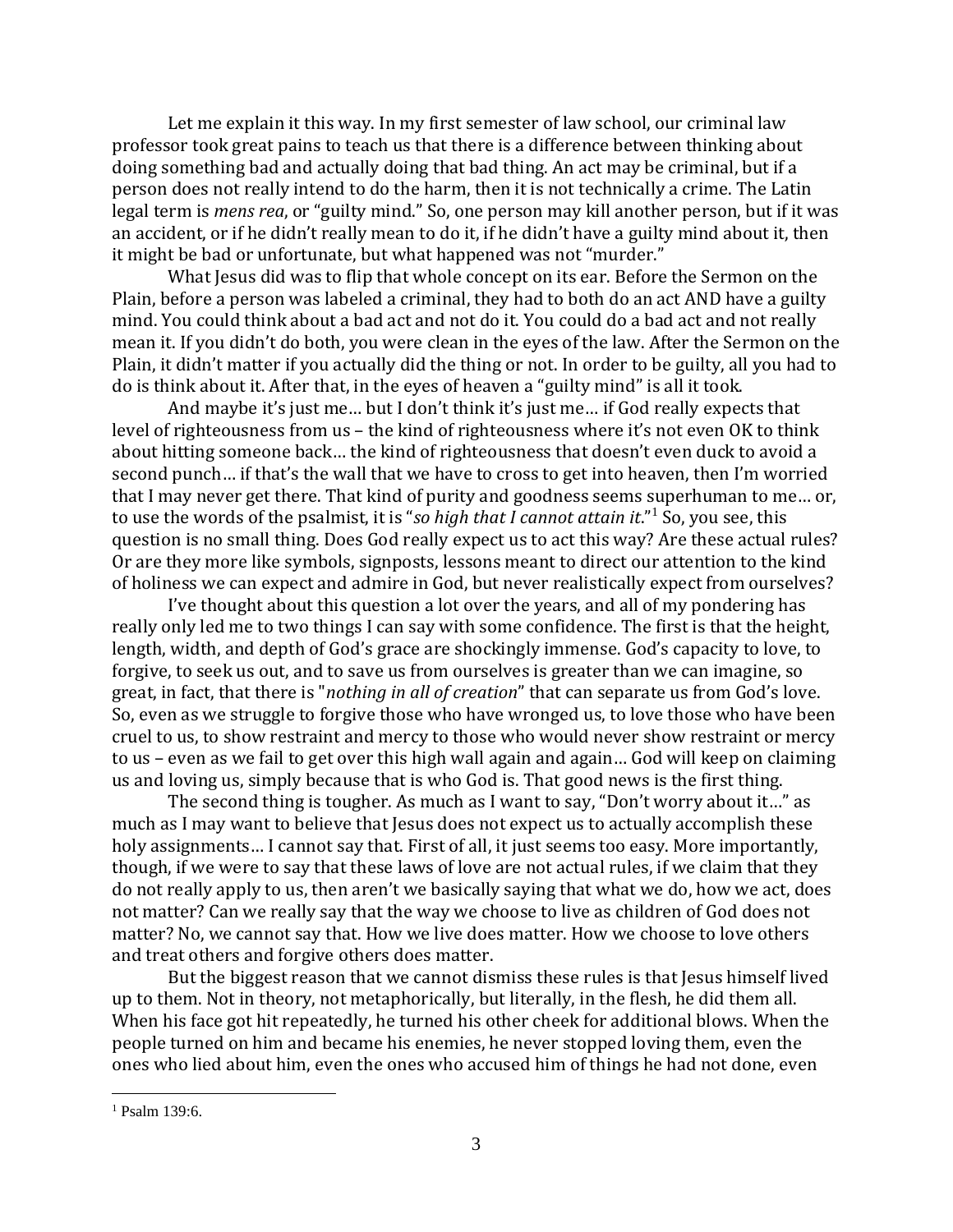Let me explain it this way. In my first semester of law school, our criminal law professor took great pains to teach us that there is a difference between thinking about doing something bad and actually doing that bad thing. An act may be criminal, but if a person does not really intend to do the harm, then it is not technically a crime. The Latin legal term is *mens rea*, or "guilty mind." So, one person may kill another person, but if it was an accident, or if he didn't really mean to do it, if he didn't have a guilty mind about it, then it might be bad or unfortunate, but what happened was not "murder."

What Jesus did was to flip that whole concept on its ear. Before the Sermon on the Plain, before a person was labeled a criminal, they had to both do an act AND have a guilty mind. You could think about a bad act and not do it. You could do a bad act and not really mean it. If you didn't do both, you were clean in the eyes of the law. After the Sermon on the Plain, it didn't matter if you actually did the thing or not. In order to be guilty, all you had to do is think about it. After that, in the eyes of heaven a "guilty mind" is all it took.

And maybe it's just me… but I don't think it's just me… if God really expects that level of righteousness from us – the kind of righteousness where it's not even OK to think about hitting someone back… the kind of righteousness that doesn't even duck to avoid a second punch… if that's the wall that we have to cross to get into heaven, then I'm worried that I may never get there. That kind of purity and goodness seems superhuman to me… or, to use the words of the psalmist, it is "*so high that I cannot attain it*."<sup>1</sup> So, you see, this question is no small thing. Does God really expect us to act this way? Are these actual rules? Or are they more like symbols, signposts, lessons meant to direct our attention to the kind of holiness we can expect and admire in God, but never realistically expect from ourselves?

I've thought about this question a lot over the years, and all of my pondering has really only led me to two things I can say with some confidence. The first is that the height, length, width, and depth of God's grace are shockingly immense. God's capacity to love, to forgive, to seek us out, and to save us from ourselves is greater than we can imagine, so great, in fact, that there is "*nothing in all of creation*" that can separate us from God's love. So, even as we struggle to forgive those who have wronged us, to love those who have been cruel to us, to show restraint and mercy to those who would never show restraint or mercy to us – even as we fail to get over this high wall again and again… God will keep on claiming us and loving us, simply because that is who God is. That good news is the first thing.

The second thing is tougher. As much as I want to say, "Don't worry about it…" as much as I may want to believe that Jesus does not expect us to actually accomplish these holy assignments… I cannot say that. First of all, it just seems too easy. More importantly, though, if we were to say that these laws of love are not actual rules, if we claim that they do not really apply to us, then aren't we basically saying that what we do, how we act, does not matter? Can we really say that the way we choose to live as children of God does not matter? No, we cannot say that. How we live does matter. How we choose to love others and treat others and forgive others does matter.

But the biggest reason that we cannot dismiss these rules is that Jesus himself lived up to them. Not in theory, not metaphorically, but literally, in the flesh, he did them all. When his face got hit repeatedly, he turned his other cheek for additional blows. When the people turned on him and became his enemies, he never stopped loving them, even the ones who lied about him, even the ones who accused him of things he had not done, even

<sup>1</sup> Psalm 139:6.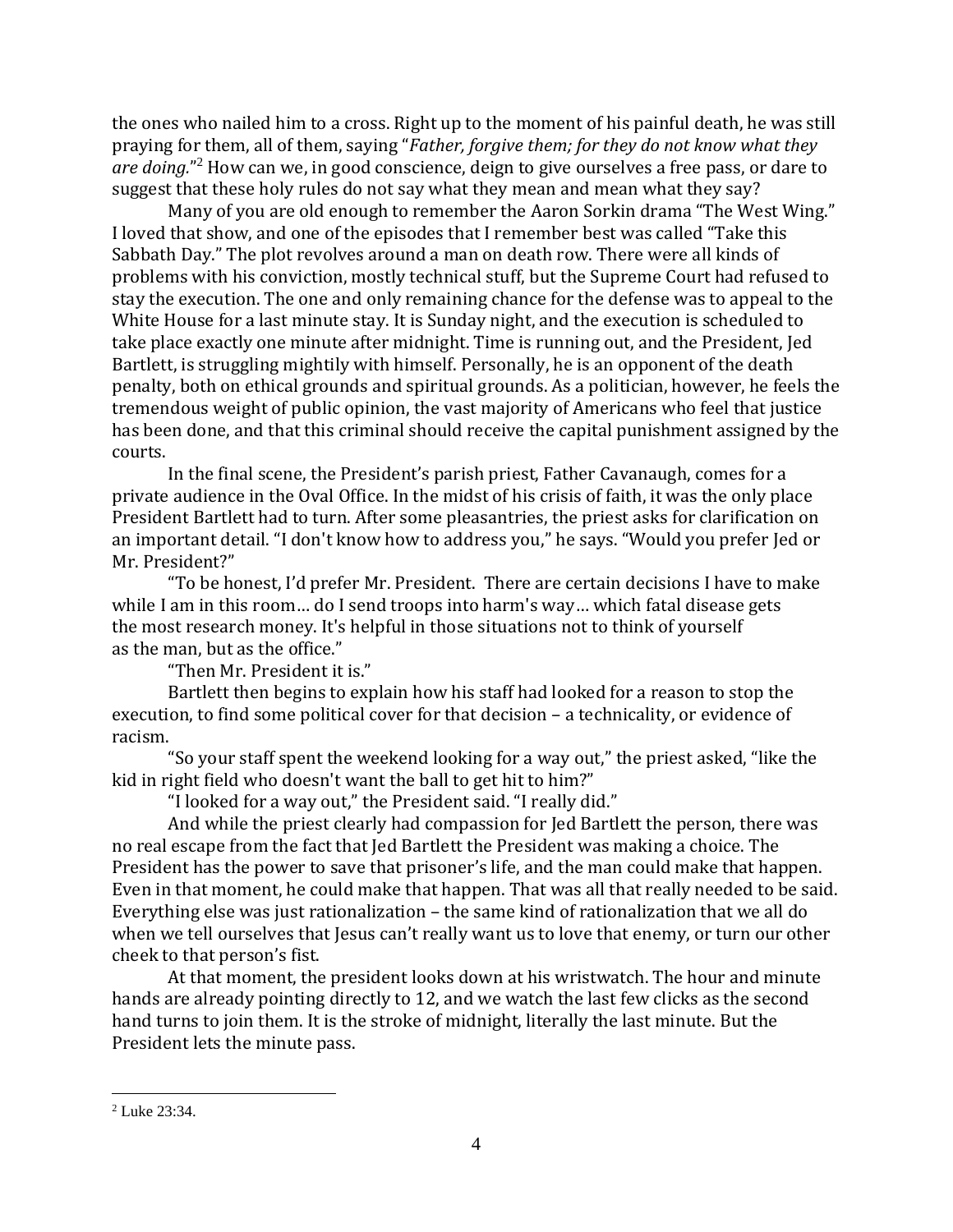the ones who nailed him to a cross. Right up to the moment of his painful death, he was still praying for them, all of them, saying "*Father, forgive them; for they do not know what they are doing.*" <sup>2</sup> How can we, in good conscience, deign to give ourselves a free pass, or dare to suggest that these holy rules do not say what they mean and mean what they say?

Many of you are old enough to remember the Aaron Sorkin drama "The West Wing." I loved that show, and one of the episodes that I remember best was called "Take this Sabbath Day." The plot revolves around a man on death row. There were all kinds of problems with his conviction, mostly technical stuff, but the Supreme Court had refused to stay the execution. The one and only remaining chance for the defense was to appeal to the White House for a last minute stay. It is Sunday night, and the execution is scheduled to take place exactly one minute after midnight. Time is running out, and the President, Jed Bartlett, is struggling mightily with himself. Personally, he is an opponent of the death penalty, both on ethical grounds and spiritual grounds. As a politician, however, he feels the tremendous weight of public opinion, the vast majority of Americans who feel that justice has been done, and that this criminal should receive the capital punishment assigned by the courts.

In the final scene, the President's parish priest, Father Cavanaugh, comes for a private audience in the Oval Office. In the midst of his crisis of faith, it was the only place President Bartlett had to turn. After some pleasantries, the priest asks for clarification on an important detail. "I don't know how to address you," he says. "Would you prefer Jed or Mr. President?"

"To be honest, I'd prefer Mr. President. There are certain decisions I have to make while I am in this room… do I send troops into harm's way… which fatal disease gets the most research money. It's helpful in those situations not to think of yourself as the man, but as the office."

"Then Mr. President it is."

Bartlett then begins to explain how his staff had looked for a reason to stop the execution, to find some political cover for that decision – a technicality, or evidence of racism.

"So your staff spent the weekend looking for a way out," the priest asked, "like the kid in right field who doesn't want the ball to get hit to him?"

"I looked for a way out," the President said. "I really did."

And while the priest clearly had compassion for Jed Bartlett the person, there was no real escape from the fact that Jed Bartlett the President was making a choice. The President has the power to save that prisoner's life, and the man could make that happen. Even in that moment, he could make that happen. That was all that really needed to be said. Everything else was just rationalization – the same kind of rationalization that we all do when we tell ourselves that Jesus can't really want us to love that enemy, or turn our other cheek to that person's fist.

At that moment, the president looks down at his wristwatch. The hour and minute hands are already pointing directly to 12, and we watch the last few clicks as the second hand turns to join them. It is the stroke of midnight, literally the last minute. But the President lets the minute pass.

<sup>2</sup> Luke 23:34.